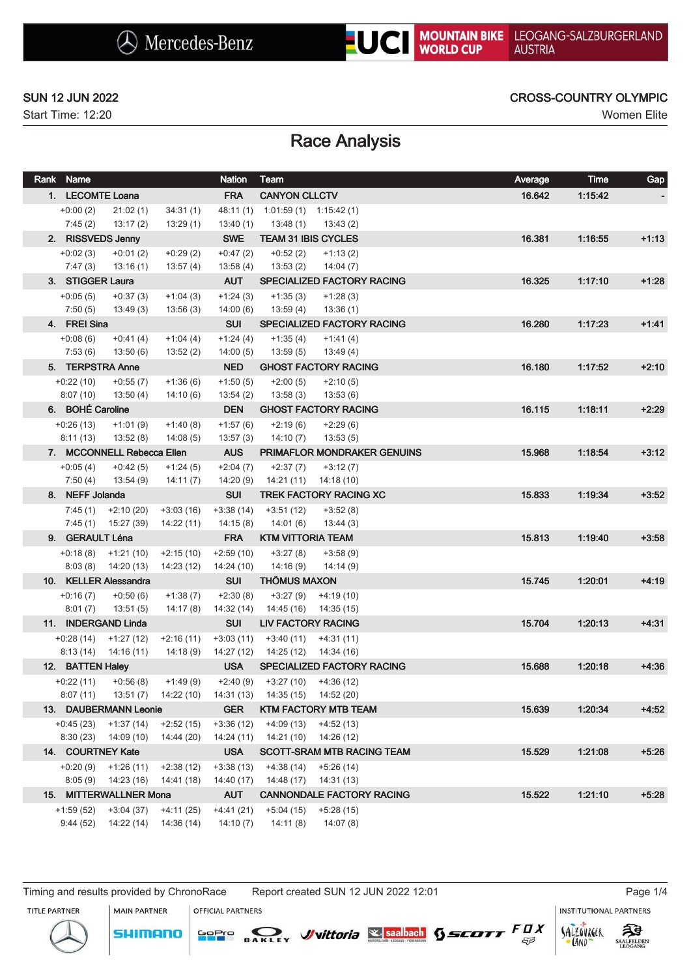# **UC** MOUNTAIN BIKE

Start Time: 12:20 Women Elite

### SUN 12 JUN 2022 CROSS-COUNTRY OLYMPIC

## Race Analysis

| Rank Name                    |                            |                                    | <b>Nation</b>             | Team                              |                                   | Average | <b>Time</b> | Gap     |
|------------------------------|----------------------------|------------------------------------|---------------------------|-----------------------------------|-----------------------------------|---------|-------------|---------|
| 1. LECOMTE Loana             |                            |                                    | <b>FRA</b>                | <b>CANYON CLLCTV</b>              |                                   | 16.642  | 1:15:42     |         |
| $+0:00(2)$                   | 21:02(1)                   | 34:31(1)                           |                           | 48:11 (1) 1:01:59 (1) 1:15:42 (1) |                                   |         |             |         |
| 7:45(2)                      | 13:17 (2)                  | 13:29(1)                           | 13:40(1)                  | 13:48 (1)                         | 13:43 (2)                         |         |             |         |
| 2. RISSVEDS Jenny            |                            |                                    | <b>SWE</b>                | <b>TEAM 31 IBIS CYCLES</b>        |                                   | 16.381  | 1:16:55     | $+1:13$ |
| $+0.02(3)$                   | $+0:01(2)$                 | $+0:29(2)$                         | $+0:47(2)$                | $+0:52(2)$                        | $+1:13(2)$                        |         |             |         |
| 7:47(3)                      | 13:16 (1)                  | 13:57(4)                           | 13:58(4)                  | 13:53 (2)                         | 14:04(7)                          |         |             |         |
| 3. STIGGER Laura             |                            |                                    | <b>AUT</b>                |                                   | <b>SPECIALIZED FACTORY RACING</b> | 16.325  | 1.17:10     | $+1:28$ |
| $+0.05(5)$                   | $+0:37(3)$                 | $+1:04(3)$                         | $+1:24(3)$                | $+1:35(3)$                        | $+1:28(3)$                        |         |             |         |
| 7:50(5)                      | 13:49 (3)                  | 13:56(3)                           | 14:00(6)                  | 13:59(4)                          | 13:36(1)                          |         |             |         |
| 4. FREI Sina                 |                            |                                    | <b>SUI</b>                |                                   | SPECIALIZED FACTORY RACING        | 16.280  | 1.17.23     | $+1.41$ |
| $+0.08(6)$                   | $+0:41(4)$                 | $+1:04(4)$                         | $+1:24(4)$                | $+1:35(4)$                        | $+1:41(4)$                        |         |             |         |
| 7:53(6)                      | 13:50(6)                   | 13:52(2)                           | 14:00(5)                  | 13:59(5)                          | 13:49 (4)                         |         |             |         |
| 5. TERPSTRA Anne             |                            |                                    | <b>NED</b>                |                                   | <b>GHOST FACTORY RACING</b>       | 16.180  | 1:17:52     | $+2:10$ |
| $+0:22(10)$                  | $+0:55(7)$                 | $+1:36(6)$                         | $+1:50(5)$                | $+2:00(5)$                        | $+2:10(5)$                        |         |             |         |
| 8:07(10)                     | 13:50(4)                   | 14:10(6)                           | 13:54(2)                  | 13:58(3)                          | 13:53(6)                          |         |             |         |
| 6. BOHÉ Caroline             |                            |                                    | <b>DEN</b>                |                                   | <b>GHOST FACTORY RACING</b>       | 16.115  | 1:18:11     | $+2:29$ |
| $+0.26(13)$                  | $+1:01(9)$                 | $+1:40(8)$                         | $+1:57(6)$                | $+2:19(6)$                        | $+2:29(6)$                        |         |             |         |
| 8:11(13)                     | 13:52(8)                   | 14:08(5)                           | 13:57(3)                  | 14:10 (7)                         | 13:53(5)                          |         |             |         |
|                              | 7. MCCONNELL Rebecca Ellen |                                    | <b>AUS</b>                |                                   | PRIMAFLOR MONDRAKER GENUINS       | 15.968  | 1.18.54     | $+3:12$ |
| $+0.05(4)$                   | $+0:42(5)$                 | $+1:24(5)$                         | $+2:04(7)$                | $+2:37(7)$                        | $+3:12(7)$                        |         |             |         |
| 7:50(4)                      | 13:54 (9)                  | 14:11(7)                           | 14:20(9)                  | 14:21 (11)                        | 14:18 (10)                        |         |             |         |
| 8. NEFF Jolanda              |                            |                                    | <b>SUI</b>                |                                   | <b>TREK FACTORY RACING XC</b>     | 15.833  | 1:19:34     | $+3:52$ |
| 7:45 (1)                     | +2:10 (20)                 | $+3:03(16)$                        | $+3:38(14)$               | $+3:51(12)$                       | $+3:52(8)$                        |         |             |         |
| 7:45(1)                      | 15:27 (39)                 | 14:22 (11)                         | 14:15(8)                  | 14:01 (6)                         | 13:44(3)                          |         |             |         |
| 9. GERAULT Léna              |                            |                                    | <b>FRA</b>                | <b>KTM VITTORIA TEAM</b>          |                                   | 15.813  | 1:19:40     | $+3:58$ |
|                              | $+0:18(8)$ $+1:21(10)$     | $+2:15(10)$                        | $+2:59(10)$               | $+3:27(8)$                        | $+3:58(9)$                        |         |             |         |
|                              | $8:03(8)$ $14:20(13)$      | 14:23 (12)                         | 14:24 (10)                | 14:16(9)                          | 14:14 (9)                         |         |             |         |
|                              | 10. KELLER Alessandra      |                                    | <b>SUI</b>                | <b>THÖMUS MAXON</b>               |                                   | 15.745  | 1:20:01     | $+4:19$ |
| $+0:16(7)$                   | $+0:50(6)$                 | $+1:38(7)$                         | $+2:30(8)$                | $+3:27(9)$                        | $+4:19(10)$                       |         |             |         |
| 8:01(7)                      | 13:51 (5)                  | 14:17(8)                           | 14:32(14)                 | 14:45 (16)                        | 14:35 (15)                        |         |             |         |
|                              | 11. INDERGAND Linda        |                                    | <b>SUI</b>                | <b>LIV FACTORY RACING</b>         |                                   | 15.704  | 1:20:13     | $+4.31$ |
| $+0.28(14)$                  | $+1:27(12)$                | $+2:16(11)$                        | $+3:03(11)$               | $+3:40(11)$                       | $+4:31(11)$<br>14:34 (16)         |         |             |         |
| 8:13(14)<br>12. BATTEN Haley | 14:16 (11)                 | 14:18 (9)                          | 14:27 (12)<br><b>USA</b>  | 14:25 (12)                        | <b>SPECIALIZED FACTORY RACING</b> | 15.688  | 1:20:18     | $+4:36$ |
|                              |                            |                                    |                           |                                   |                                   |         |             |         |
| +0:22 (11)<br>8:07(11)       | $+0.56(8)$                 | $+1:49(9)$<br>13:51 (7) 14:22 (10) | +2:40 (9)<br>14:31 (13)   | 14:35 (15)  14:52 (20)            | $+3:27(10)$ $+4:36(12)$           |         |             |         |
|                              | 13. DAUBERMANN Leonie      |                                    | <b>GER</b>                |                                   | <b>KTM FACTORY MTB TEAM</b>       | 15.639  | 1:20:34     | $+4:52$ |
|                              | $+0:45(23)$ $+1:37(14)$    | $+2:52(15)$                        |                           |                                   | $+4:09(13)$ $+4:52(13)$           |         |             |         |
|                              | $8:30(23)$ $14:09(10)$     | 14:44 (20)                         | $+3:36(12)$<br>14:24 (11) |                                   | 14:21 (10) 14:26 (12)             |         |             |         |
| 14. COURTNEY Kate            |                            |                                    | <b>USA</b>                |                                   | SCOTT-SRAM MTB RACING TEAM        | 15.529  | 1:21:08     | $+5:26$ |
|                              | $+0:20(9)$ $+1:26(11)$     | $+2:38(12)$                        | $+3:38(13)$               |                                   | $+4:38(14)$ $+5:26(14)$           |         |             |         |
| 8:05(9)                      | 14:23 (16)                 | 14:41 (18)                         | 14:40 (17)                | 14:48 (17)                        | 14:31 (13)                        |         |             |         |
|                              | 15. MITTERWALLNER Mona     |                                    | <b>AUT</b>                |                                   | <b>CANNONDALE FACTORY RACING</b>  | 15.522  | 1.21.10     | $+5:28$ |
| $+1:59(52)$                  | $+3:04(37)$                | $+4:11(25)$                        | $+4:41(21)$               | $+5:04(15)$                       | +5:28 (15)                        |         |             |         |
| 9:44(52)                     | 14:22(14)                  | 14:36 (14)                         | 14:10(7)                  | 14:11(8)                          | 14:07(8)                          |         |             |         |
|                              |                            |                                    |                           |                                   |                                   |         |             |         |

Timing and results provided by ChronoRace Report created SUN 12 JUN 2022 12:01 Page 1/4

MAIN PARTNER

**SHIMANO** 

OFFICIAL PARTNERS

**INSTITUTIONAL PARTNERS** 

TITLE PARTNER





LAND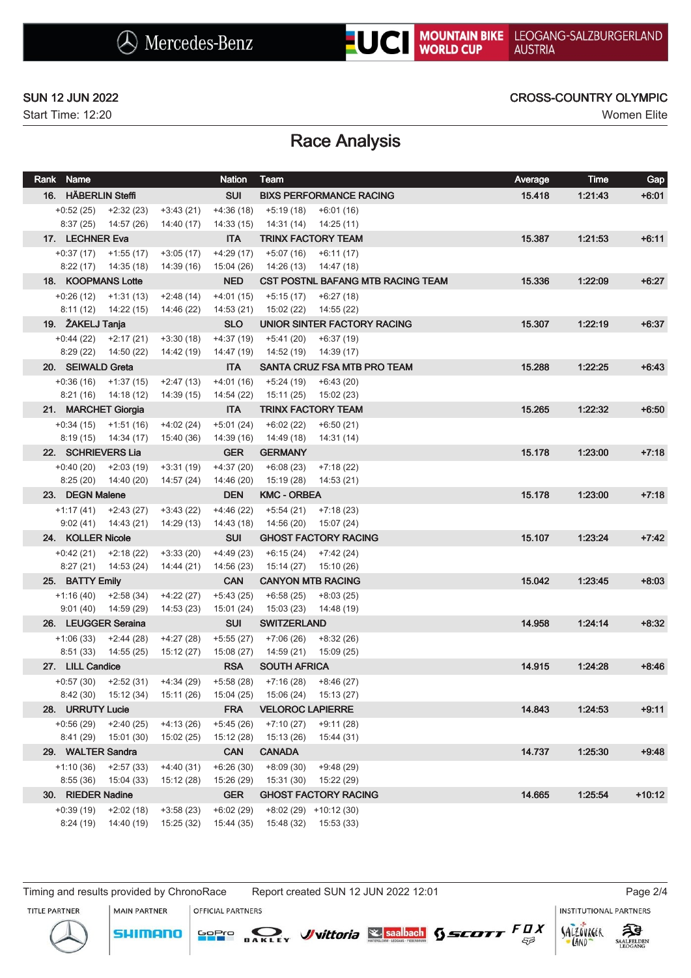# **UC** MOUNTAIN BIKE

Start Time: 12:20 Women Elite

### SUN 12 JUN 2022 CROSS-COUNTRY OLYMPIC

## Race Analysis

| Rank Name                      |                           |                                     | <b>Nation</b>            | Team                        |                                          | Average | <b>Time</b> | Gap      |
|--------------------------------|---------------------------|-------------------------------------|--------------------------|-----------------------------|------------------------------------------|---------|-------------|----------|
| 16. HÄBERLIN Steffi            |                           |                                     | <b>SUI</b>               |                             | <b>BIXS PERFORMANCE RACING</b>           | 15.418  | 1.21.43     | $+6:01$  |
|                                | $+0.52(25)$ $+2.32(23)$   | $+3:43(21)$                         |                          | $+4:36(18)$ $+5:19(18)$     | $+6:01(16)$                              |         |             |          |
|                                | $8:37(25)$ 14:57 (26)     | 14:40 (17)                          | 14:33 (15)               |                             | 14:31 (14) 14:25 (11)                    |         |             |          |
| 17. LECHNER Eva                |                           |                                     | <b>ITA</b>               |                             | <b>TRINX FACTORY TEAM</b>                | 15.387  | 1:21:53     | $+6:11$  |
|                                | $+0.37(17)$ $+1.55(17)$   | $+3:05(17)$                         | $+4:29(17)$              |                             | $+5:07(16)$ $+6:11(17)$                  |         |             |          |
|                                | $8:22(17)$ $14:35(18)$    | 14:39 (16)                          | 15:04 (26)               |                             | 14:26 (13) 14:47 (18)                    |         |             |          |
| 18. KOOPMANS Lotte             |                           |                                     | <b>NED</b>               |                             | <b>CST POSTNL BAFANG MTB RACING TEAM</b> | 15.336  | 1:22:09     | $+6:27$  |
|                                | $+0.26(12)$ $+1.31(13)$   | $+2:48(14)$                         | $+4:01(15)$              | +5:15 (17)                  | +6:27 (18)                               |         |             |          |
|                                | $8:11(12)$ $14:22(15)$    | 14:46 (22)                          | 14:53 (21)               |                             | 15:02 (22) 14:55 (22)                    |         |             |          |
| 19. ŽAKELJ Tanja               |                           |                                     | <b>SLO</b>               |                             | UNIOR SINTER FACTORY RACING              | 15.307  | 1.22.19     | $+6:37$  |
|                                | $+0.44(22)$ $+2.17(21)$   | $+3:30(18)$                         | $+4:37(19)$              | $+5:41(20)$                 | +6:37 (19)                               |         |             |          |
|                                | $8:29(22)$ $14:50(22)$    | 14:42 (19)                          | 14:47 (19)               |                             | 14:52 (19) 14:39 (17)                    |         |             |          |
| 20. SEIWALD Greta              |                           |                                     | <b>ITA</b>               |                             | SANTA CRUZ FSA MTB PRO TEAM              | 15.288  | 1.22.25     | $+6:43$  |
|                                | $+0.36(16)$ $+1.37(15)$   | $+2:47(13)$                         | $+4:01(16)$              | +5:24 (19)                  | +6:43 (20)                               |         |             |          |
|                                | $8:21(16)$ $14:18(12)$    | 14:39 (15)                          | 14:54 (22)               | 15:11 (25)                  | 15:02 (23)                               |         |             |          |
| 21. MARCHET Giorgia            |                           |                                     | <b>ITA</b>               |                             | <b>TRINX FACTORY TEAM</b>                | 15.265  | 1.22.32     | $+6:50$  |
|                                | $+0:34(15)$ $+1:51(16)$   | $+4:02(24)$                         | $+5:01(24)$              | +6:02 (22)                  | $+6:50(21)$                              |         |             |          |
|                                | $8:19(15)$ $14:34(17)$    | 15:40 (36)                          | 14:39 (16)               | 14:49 (18)                  | 14:31 (14)                               |         |             |          |
| 22. SCHRIEVERS Lia             |                           |                                     | <b>GER</b>               | <b>GERMANY</b>              |                                          | 15.178  | 1:23:00     | $+7:18$  |
|                                | $+0:40(20)$ $+2:03(19)$   | $+3:31(19)$                         | $+4:37(20)$              | $+6:08(23)$                 | $+7:18(22)$                              |         |             |          |
|                                | $8:25(20)$ $14:40(20)$    | 14:57 (24)                          | 14:46 (20)               | 15:19 (28)                  | 14:53 (21)                               |         |             |          |
| 23. DEGN Malene                |                           |                                     | <b>DEN</b>               | <b>KMC - ORBEA</b>          |                                          | 15.178  | 1:23:00     | $+7:18$  |
|                                | $+1:17(41)$ $+2:43(27)$   | $+3:43(22)$                         | $+4:46(22)$              |                             | $+5:54(21)$ $+7:18(23)$                  |         |             |          |
|                                | $9:02(41)$ $14:43(21)$    | 14:29 (13)                          | 14:43 (18)               | 14:56 (20)                  | 15:07 (24)                               |         |             |          |
| 24. KOLLER Nicole              |                           |                                     | <b>SUI</b>               |                             | <b>GHOST FACTORY RACING</b>              | 15.107  | 1:23:24     | $+7:42$  |
|                                | $+0.42(21)$ $+2.18(22)$   | $+3:33(20)$                         | +4:49 (23)               |                             | $+6:15(24)$ $+7:42(24)$                  |         |             |          |
|                                | 8:27 (21) 14:53 (24)      | 14:44 (21)                          | 14:56 (23)               | 15:14 (27)                  | 15:10 (26)                               |         |             |          |
| 25. BATTY Emily                |                           |                                     | <b>CAN</b>               |                             | <b>CANYON MTB RACING</b>                 | 15.042  | 1:23:45     | $+8.03$  |
| $+1:16(40)$                    | $+2:58(34)$               | $+4:22(27)$                         | $+5:43(25)$              | $+6:58(25)$                 | $+8:03(25)$                              |         |             |          |
|                                | $9:01(40)$ $14:59(29)$    | 14:53 (23)                          | 15:01 (24)               | 15:03 (23)                  | 14:48 (19)                               |         |             |          |
| 26. LEUGGER Seraina            |                           |                                     | <b>SUI</b>               | <b>SWITZERLAND</b>          |                                          | 14.958  | 1.24.14     | $+8.32$  |
|                                | $+1:06(33)$ $+2:44(28)$   | $+4:27(28)$                         | $+5:55(27)$              | +7:06 (26)                  | $+8:32(26)$                              |         |             |          |
|                                | $8:51(33)$ $14:55(25)$    | 15:12 (27)                          | 15:08 (27)               | 14:59 (21)                  | 15:09 (25)                               |         |             |          |
| 27. LILL Candice               |                           |                                     | <b>RSA</b>               | <b>SOUTH AFRICA</b>         |                                          | 14.915  | 1:24:28     | $+8:46$  |
|                                |                           | $+0.57(30)$ $+2.52(31)$ $+4.34(29)$ | +5:58 (28)               |                             | $+7:16(28)$ $+8:46(27)$                  |         |             |          |
|                                | 8:42 (30) 15:12 (34)      | 15:11 (26)                          | 15:04 (25)               |                             | 15:06 (24) 15:13 (27)                    |         |             |          |
| 28. URRUTY Lucie               |                           |                                     | <b>FRA</b>               | <b>VELOROC LAPIERRE</b>     |                                          | 14.843  | 1:24:53     | $+9:11$  |
| $+0.56(29)$                    | $+2:40(25)$               | $+4:13(26)$                         | $+5:45(26)$              | $+7:10(27)$                 | $+9:11(28)$                              |         |             |          |
| 8:41 (29)<br>29. WALTER Sandra | 15:01 (30)                | 15:02 (25)                          | 15:12 (28)<br><b>CAN</b> | 15:13 (26)<br><b>CANADA</b> | 15:44 (31)                               | 14.737  | 1:25:30     | $+9:48$  |
| $+1:10(36)$                    |                           |                                     | $+6:26(30)$              |                             |                                          |         |             |          |
| 8:55(36)                       | $+2:57(33)$<br>15:04 (33) | $+4:40(31)$<br>15:12 (28)           | 15:26 (29)               | $+8:09(30)$<br>15:31 (30)   | $+9:48(29)$<br>15:22 (29)                |         |             |          |
| 30. RIEDER Nadine              |                           |                                     | <b>GER</b>               |                             | <b>GHOST FACTORY RACING</b>              | 14.665  | 1:25:54     | $+10:12$ |
| $+0.39(19)$                    | $+2:02(18)$               | $+3:58(23)$                         | $+6:02(29)$              |                             | $+8:02(29)$ $+10:12(30)$                 |         |             |          |
| 8:24(19)                       | 14:40 (19)                | 15:25 (32)                          | 15:44 (35)               | 15:48 (32)                  | 15:53 (33)                               |         |             |          |
|                                |                           |                                     |                          |                             |                                          |         |             |          |

Timing and results provided by ChronoRace Report created SUN 12 JUN 2022 12:01 Page 2/4

SOPIO DAKLEY Vittoria & saabach SSCOTT FUX

拜

**SAALFELDEN** 

SALZOVREER

LAND

TITLE PARTNER



MAIN PARTNER

OFFICIAL PARTNERS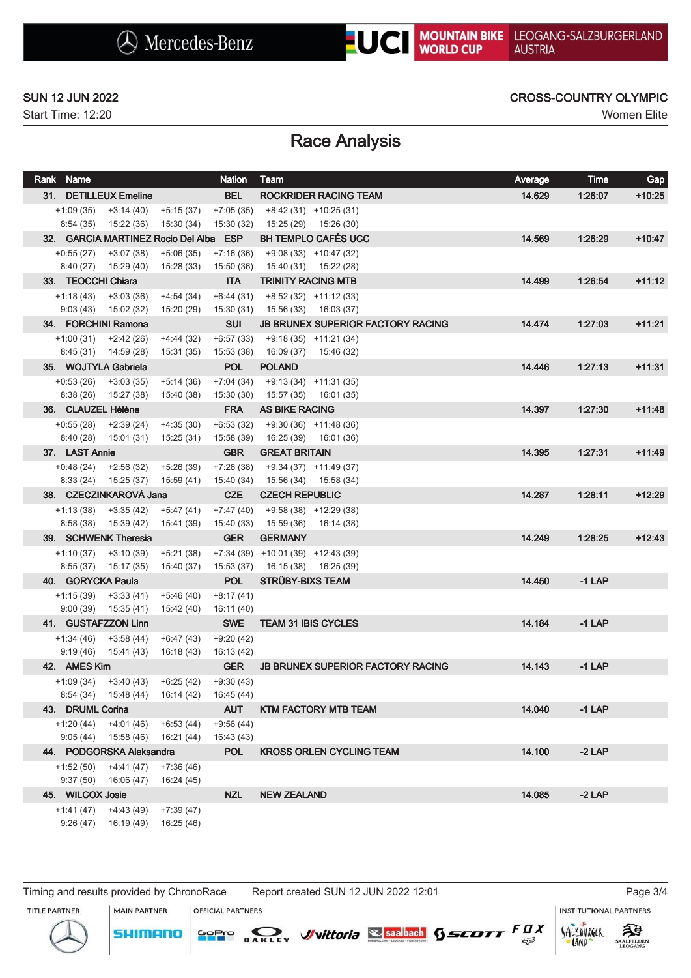Start Time: 12:20 Women Elite

### SUN 12 JUN 2022 CROSS-COUNTRY OLYMPIC

# Race Analysis

| Rank Name               |                                                 |                                            | <b>Nation</b>            | Team                                                 | Average | <b>Time</b> | Gap      |
|-------------------------|-------------------------------------------------|--------------------------------------------|--------------------------|------------------------------------------------------|---------|-------------|----------|
|                         | 31. DETILLEUX Emeline                           |                                            | <b>BEL</b>               | ROCKRIDER RACING TEAM                                | 14.629  | 1:26:07     | $+10:25$ |
| $+1:09(35)$             | +3:14 (40)                                      | $+5:15(37)$                                | $+7:05(35)$              | $+8:42(31)$ $+10:25(31)$                             |         |             |          |
|                         | 8:54 (35) 15:22 (36)                            | 15:30 (34)                                 | 15:30 (32)               | 15:25 (29) 15:26 (30)                                |         |             |          |
|                         |                                                 | 32. GARCIA MARTINEZ Rocio Del Alba ESP     |                          | <b>BH TEMPLO CAFÉS UCC</b>                           | 14.569  | 1:26:29     | $+10:47$ |
| $+0:55(27)$ $+3:07(38)$ |                                                 | $+5:06(35)$                                | $+7:16(36)$              | $+9:08(33)$ +10:47 (32)                              |         |             |          |
| 33. TEOCCHI Chiara      | $8:40(27)$ $15:29(40)$                          | 15:28 (33)                                 | 15:50 (36)<br><b>ITA</b> | $15:40(31)$ $15:22(28)$<br><b>TRINITY RACING MTB</b> | 14.499  | 1:26:54     | $+11:12$ |
|                         | $+1:18(43)$ $+3:03(36)$                         | +4:54 (34)                                 | $+6:44(31)$              | $+8:52(32)$ $+11:12(33)$                             |         |             |          |
|                         | $9:03(43)$ $15:02(32)$                          | 15:20 (29)                                 | 15:30 (31)               | 15:56 (33) 16:03 (37)                                |         |             |          |
| 34. FORCHINI Ramona     |                                                 |                                            | <b>SUI</b>               | <b>JB BRUNEX SUPERIOR FACTORY RACING</b>             | 14.474  | 1:27:03     | $+11:21$ |
| $+1:00(31)$ $+2:42(26)$ |                                                 | $+4:44(32)$                                | $+6:57(33)$              | $+9:18(35)$ $+11:21(34)$                             |         |             |          |
|                         | 8:45 (31) 14:59 (28)                            | 15:31 (35)                                 | 15:53 (38)               | 16:09 (37)<br>15:46 (32)                             |         |             |          |
| 35. WOJTYLA Gabriela    |                                                 |                                            | <b>POL</b>               | <b>POLAND</b>                                        | 14.446  | 1.27.13     | $+11:31$ |
| $+0.53(26)$ $+3.03(35)$ |                                                 | $+5:14(36)$                                | $+7:04(34)$              | $+9:13(34)$ $+11:31(35)$                             |         |             |          |
| 8:38(26)                | 15:27 (38)                                      | 15:40 (38)                                 | 15:30 (30)               | 15:57 (35)<br>16:01 (35)                             |         |             |          |
| 36. CLAUZEL Hélène      |                                                 |                                            | <b>FRA</b>               | <b>AS BIKE RACING</b>                                | 14.397  | 1.27:30     | $+11:48$ |
|                         | $+0.55(28)$ $+2.39(24)$                         | $+4:35(30)$                                | $+6:53(32)$              | $+9:30(36)$ $+11:48(36)$                             |         |             |          |
|                         | 8:40 (28) 15:01 (31) 15:25 (31)                 |                                            | 15:58 (39)               | 16:25 (39) 16:01 (36)                                |         |             |          |
| 37. LAST Annie          |                                                 |                                            | <b>GBR</b>               | <b>GREAT BRITAIN</b>                                 | 14.395  | 1.27.31     | $+11:49$ |
| $+0.48(24)$             | $+2:56(32)$                                     | $+5:26(39)$                                | $+7:26(38)$              | $+9:34(37)$ $+11:49(37)$                             |         |             |          |
|                         | $8:33(24)$ 15:25 (37)<br>38. CZECZINKAROVÁ Jana | 15:59 (41)                                 | 15:40 (34)<br><b>CZE</b> | 15:56 (34) 15:58 (34)<br><b>CZECH REPUBLIC</b>       | 14.287  | 1:28:11     | $+12:29$ |
| $+1:13(38)$             | $+3:35(42)$                                     | $+5:47(41)$                                | $+7:47(40)$              | $+9:58(38)$ +12:29 (38)                              |         |             |          |
|                         | 8:58 (38) 15:39 (42)                            | 15:41 (39)                                 | 15:40 (33)               | 15:59 (36)<br>16:14 (38)                             |         |             |          |
|                         | 39. SCHWENK Theresia                            |                                            | <b>GER</b>               | <b>GERMANY</b>                                       | 14.249  | 1:28:25     | $+12:43$ |
| $+1:10(37)$ $+3:10(39)$ |                                                 | $+5:21(38)$                                |                          | $+7:34(39)$ $+10:01(39)$ $+12:43(39)$                |         |             |          |
|                         | $8:55(37)$ 15:17 (35)                           | 15:40 (37)                                 | 15:53 (37)               | 16:15 (38) 16:25 (39)                                |         |             |          |
| 40. GORYCKA Paula       |                                                 |                                            | <b>POL</b>               | <b>STRÜBY-BIXS TEAM</b>                              | 14.450  | $-1$ LAP    |          |
|                         | $+1:15(39)$ $+3:33(41)$                         | $+5:46(40)$                                | $+8:17(41)$              |                                                      |         |             |          |
|                         | $9:00(39)$ $15:35(41)$                          | 15:42 (40)                                 | 16:11 (40)               |                                                      |         |             |          |
|                         | 41. GUSTAFZZON Linn                             |                                            | <b>SWE</b>               | <b>TEAM 31 IBIS CYCLES</b>                           | 14.184  | $-1$ LAP    |          |
|                         | $+1:34(46)$ $+3:58(44)$                         | $+6:47(43)$                                | $+9:20(42)$              |                                                      |         |             |          |
|                         | $9:19(46)$ $15:41(43)$                          | 16:18 (43)                                 | 16:13 (42)               |                                                      |         |             |          |
| 42. AMES Kim            |                                                 |                                            | <b>GER</b>               | <b>JB BRUNEX SUPERIOR FACTORY RACING</b>             | 14.143  | $-1$ LAP    |          |
|                         | $+1:09(34)$ $+3:40(43)$                         | +6:25 (42)                                 | $+9:30(43)$              |                                                      |         |             |          |
| 43. DRUML Corina        |                                                 | 8:54 (34) 15:48 (44) 16:14 (42) 16:45 (44) | <b>AUT</b>               |                                                      | 14.040  | $-1$ LAP    |          |
|                         | $+1:20(44)$ $+4:01(46)$                         | $+6:53(44)$                                | $+9:56(44)$              | <b>KTM FACTORY MTB TEAM</b>                          |         |             |          |
|                         | $9:05(44)$ 15:58(46)                            | 16:21 (44)                                 | 16:43 (43)               |                                                      |         |             |          |
|                         | 44. PODGORSKA Aleksandra                        |                                            | <b>POL</b>               | <b>KROSS ORLEN CYCLING TEAM</b>                      | 14.100  | $-2$ LAP    |          |
|                         | $+1:52(50)$ $+4:41(47)$                         | $+7:36(46)$                                |                          |                                                      |         |             |          |
|                         | $9:37(50)$ 16:06 (47)                           | 16:24 (45)                                 |                          |                                                      |         |             |          |
| 45. WILCOX Josie        |                                                 |                                            | <b>NZL</b>               | <b>NEW ZEALAND</b>                                   | 14.085  | $-2$ LAP    |          |
| $+1:41(47)$             | $+4:43(49)$                                     | $+7:39(47)$                                |                          |                                                      |         |             |          |
|                         | $9:26(47)$ 16:19(49)                            | 16:25 (46)                                 |                          |                                                      |         |             |          |

Timing and results provided by ChronoRace Report created SUN 12 JUN 2022 12:01 Page 3/4

MAIN PARTNER

OFFICIAL PARTNERS

**INSTITUTIONAL PARTNERS** 

TITLE PARTNER





LAND